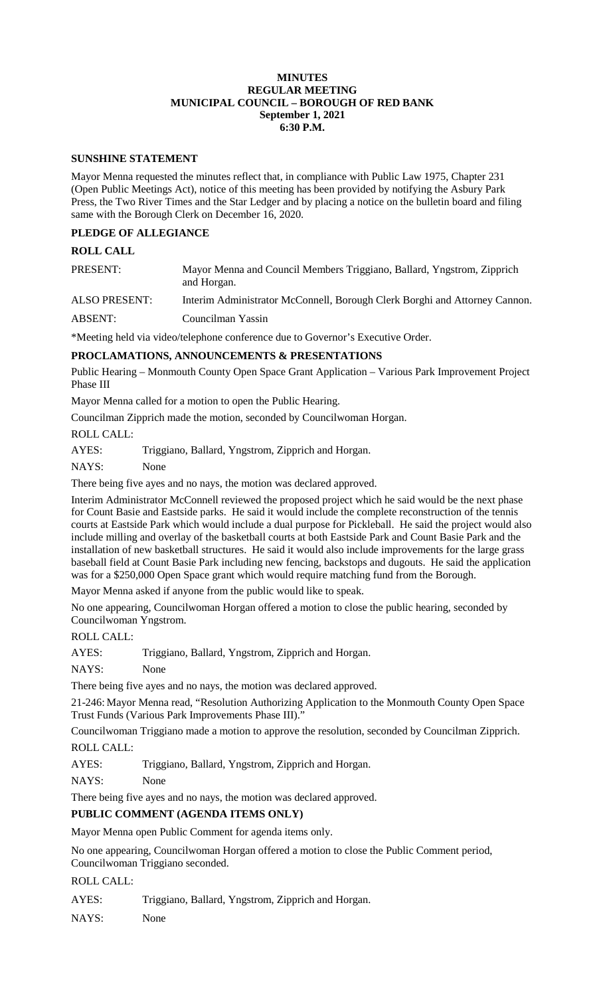#### **MINUTES REGULAR MEETING MUNICIPAL COUNCIL – BOROUGH OF RED BANK September 1, 2021 6:30 P.M.**

#### **SUNSHINE STATEMENT**

Mayor Menna requested the minutes reflect that, in compliance with Public Law 1975, Chapter 231 (Open Public Meetings Act), notice of this meeting has been provided by notifying the Asbury Park Press, the Two River Times and the Star Ledger and by placing a notice on the bulletin board and filing same with the Borough Clerk on December 16, 2020.

## **PLEDGE OF ALLEGIANCE**

#### **ROLL CALL**

| PRESENT: | Mayor Menna and Council Members Triggiano, Ballard, Yngstrom, Zipprich |
|----------|------------------------------------------------------------------------|
|          | and Horgan.                                                            |

ALSO PRESENT: Interim Administrator McConnell, Borough Clerk Borghi and Attorney Cannon.

ABSENT: Councilman Yassin

\*Meeting held via video/telephone conference due to Governor's Executive Order.

### **PROCLAMATIONS, ANNOUNCEMENTS & PRESENTATIONS**

Public Hearing – Monmouth County Open Space Grant Application – Various Park Improvement Project Phase III

Mayor Menna called for a motion to open the Public Hearing.

Councilman Zipprich made the motion, seconded by Councilwoman Horgan.

#### ROLL CALL:

AYES: Triggiano, Ballard, Yngstrom, Zipprich and Horgan.

NAYS: None

There being five ayes and no nays, the motion was declared approved.

Interim Administrator McConnell reviewed the proposed project which he said would be the next phase for Count Basie and Eastside parks. He said it would include the complete reconstruction of the tennis courts at Eastside Park which would include a dual purpose for Pickleball. He said the project would also include milling and overlay of the basketball courts at both Eastside Park and Count Basie Park and the installation of new basketball structures. He said it would also include improvements for the large grass baseball field at Count Basie Park including new fencing, backstops and dugouts. He said the application was for a \$250,000 Open Space grant which would require matching fund from the Borough.

Mayor Menna asked if anyone from the public would like to speak.

No one appearing, Councilwoman Horgan offered a motion to close the public hearing, seconded by Councilwoman Yngstrom.

ROLL CALL:

AYES: Triggiano, Ballard, Yngstrom, Zipprich and Horgan.

NAYS: None

There being five ayes and no nays, the motion was declared approved.

21-246: Mayor Menna read, "Resolution Authorizing Application to the Monmouth County Open Space Trust Funds (Various Park Improvements Phase III)."

Councilwoman Triggiano made a motion to approve the resolution, seconded by Councilman Zipprich. ROLL CALL:

AYES: Triggiano, Ballard, Yngstrom, Zipprich and Horgan.

NAYS: None

There being five ayes and no nays, the motion was declared approved.

### **PUBLIC COMMENT (AGENDA ITEMS ONLY)**

Mayor Menna open Public Comment for agenda items only.

No one appearing, Councilwoman Horgan offered a motion to close the Public Comment period, Councilwoman Triggiano seconded.

ROLL CALL:

AYES: Triggiano, Ballard, Yngstrom, Zipprich and Horgan.

NAYS: None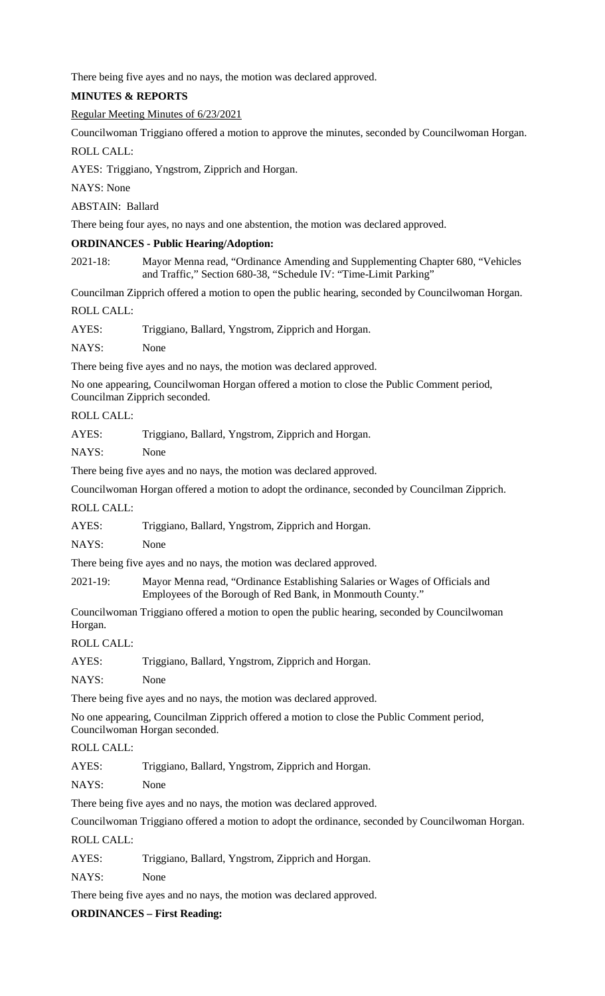There being five ayes and no nays, the motion was declared approved.

## **MINUTES & REPORTS**

## Regular Meeting Minutes of 6/23/2021

Councilwoman Triggiano offered a motion to approve the minutes, seconded by Councilwoman Horgan.

ROLL CALL:

AYES: Triggiano, Yngstrom, Zipprich and Horgan.

NAYS: None

ABSTAIN: Ballard

There being four ayes, no nays and one abstention, the motion was declared approved.

## **ORDINANCES - Public Hearing/Adoption:**

2021-18: Mayor Menna read, "Ordinance Amending and Supplementing Chapter 680, "Vehicles and Traffic," Section 680-38, "Schedule IV: "Time-Limit Parking"

Councilman Zipprich offered a motion to open the public hearing, seconded by Councilwoman Horgan. ROLL CALL:

AYES: Triggiano, Ballard, Yngstrom, Zipprich and Horgan.

NAYS: None

There being five ayes and no nays, the motion was declared approved.

No one appearing, Councilwoman Horgan offered a motion to close the Public Comment period, Councilman Zipprich seconded.

# ROLL CALL:

AYES: Triggiano, Ballard, Yngstrom, Zipprich and Horgan.

NAYS: None

There being five ayes and no nays, the motion was declared approved.

Councilwoman Horgan offered a motion to adopt the ordinance, seconded by Councilman Zipprich.

ROLL CALL:

AYES: Triggiano, Ballard, Yngstrom, Zipprich and Horgan.

NAYS: None

There being five ayes and no nays, the motion was declared approved.

2021-19: Mayor Menna read, "Ordinance Establishing Salaries or Wages of Officials and Employees of the Borough of Red Bank, in Monmouth County."

Councilwoman Triggiano offered a motion to open the public hearing, seconded by Councilwoman Horgan.

ROLL CALL:

AYES: Triggiano, Ballard, Yngstrom, Zipprich and Horgan.

NAYS: None

There being five ayes and no nays, the motion was declared approved.

No one appearing, Councilman Zipprich offered a motion to close the Public Comment period, Councilwoman Horgan seconded.

# ROLL CALL:

AYES: Triggiano, Ballard, Yngstrom, Zipprich and Horgan.

NAYS: None

There being five ayes and no nays, the motion was declared approved.

Councilwoman Triggiano offered a motion to adopt the ordinance, seconded by Councilwoman Horgan.

ROLL CALL:

AYES: Triggiano, Ballard, Yngstrom, Zipprich and Horgan.

NAYS: None

There being five ayes and no nays, the motion was declared approved.

**ORDINANCES – First Reading:**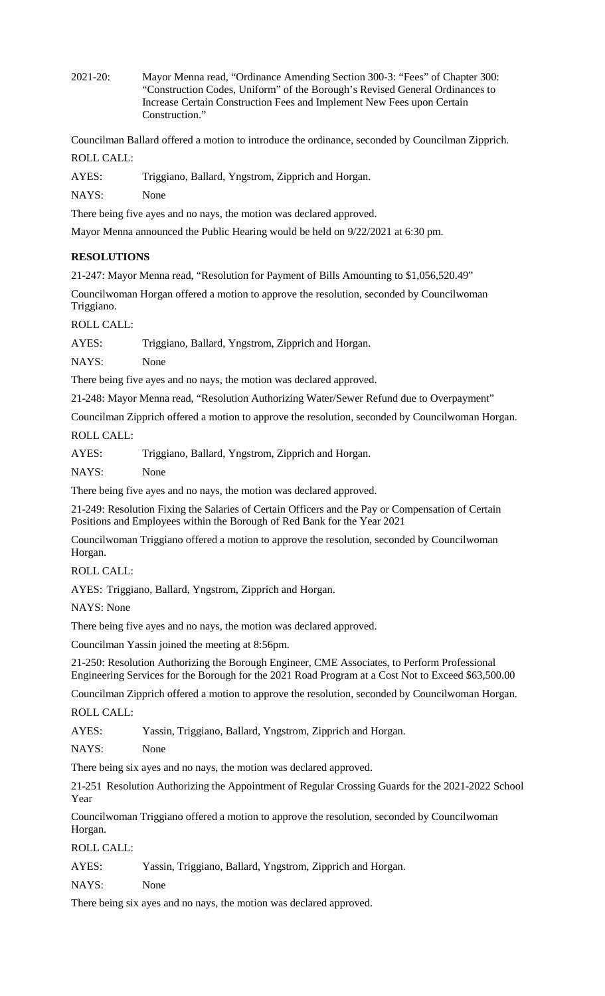2021-20: Mayor Menna read, "Ordinance Amending Section 300-3: "Fees" of Chapter 300: "Construction Codes, Uniform" of the Borough's Revised General Ordinances to Increase Certain Construction Fees and Implement New Fees upon Certain Construction."

Councilman Ballard offered a motion to introduce the ordinance, seconded by Councilman Zipprich. ROLL CALL:

AYES: Triggiano, Ballard, Yngstrom, Zipprich and Horgan.

NAYS: None

There being five ayes and no nays, the motion was declared approved.

Mayor Menna announced the Public Hearing would be held on 9/22/2021 at 6:30 pm.

# **RESOLUTIONS**

21-247: Mayor Menna read, "Resolution for Payment of Bills Amounting to \$1,056,520.49"

Councilwoman Horgan offered a motion to approve the resolution, seconded by Councilwoman Triggiano.

ROLL CALL:

AYES: Triggiano, Ballard, Yngstrom, Zipprich and Horgan.

NAYS: None

There being five ayes and no nays, the motion was declared approved.

21-248: Mayor Menna read, "Resolution Authorizing Water/Sewer Refund due to Overpayment"

Councilman Zipprich offered a motion to approve the resolution, seconded by Councilwoman Horgan. ROLL CALL:

AYES: Triggiano, Ballard, Yngstrom, Zipprich and Horgan.

NAYS: None

There being five ayes and no nays, the motion was declared approved.

21-249: Resolution Fixing the Salaries of Certain Officers and the Pay or Compensation of Certain Positions and Employees within the Borough of Red Bank for the Year 2021

Councilwoman Triggiano offered a motion to approve the resolution, seconded by Councilwoman Horgan.

## ROLL CALL:

AYES: Triggiano, Ballard, Yngstrom, Zipprich and Horgan.

NAYS: None

There being five ayes and no nays, the motion was declared approved.

Councilman Yassin joined the meeting at 8:56pm.

21-250: Resolution Authorizing the Borough Engineer, CME Associates, to Perform Professional Engineering Services for the Borough for the 2021 Road Program at a Cost Not to Exceed \$63,500.00

Councilman Zipprich offered a motion to approve the resolution, seconded by Councilwoman Horgan.

ROLL CALL:

AYES: Yassin, Triggiano, Ballard, Yngstrom, Zipprich and Horgan.

NAYS: None

There being six ayes and no nays, the motion was declared approved.

21-251 Resolution Authorizing the Appointment of Regular Crossing Guards for the 2021-2022 School Year

Councilwoman Triggiano offered a motion to approve the resolution, seconded by Councilwoman Horgan.

ROLL CALL:

### AYES: Yassin, Triggiano, Ballard, Yngstrom, Zipprich and Horgan.

NAYS: None

There being six ayes and no nays, the motion was declared approved.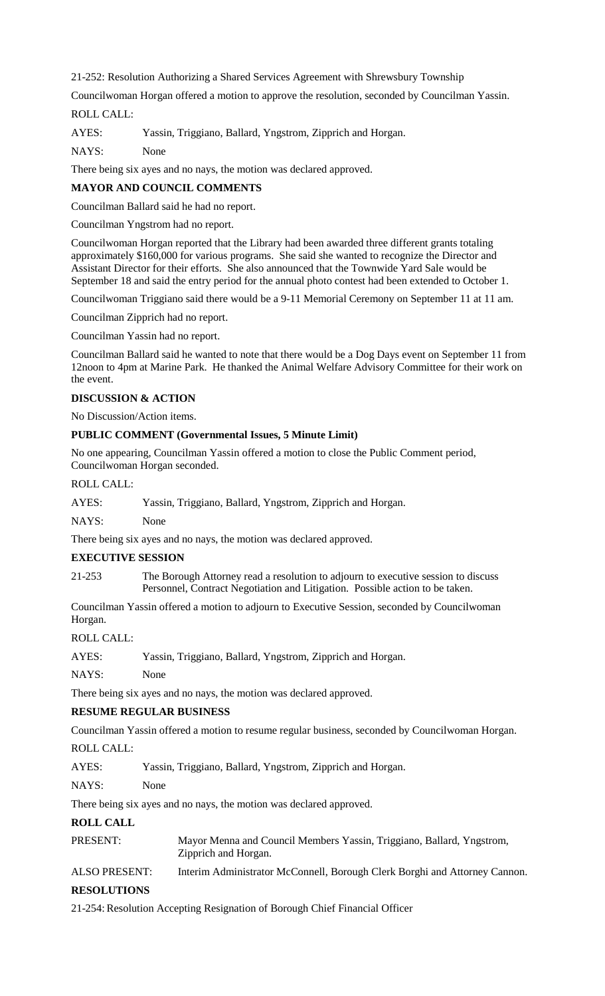21-252: Resolution Authorizing a Shared Services Agreement with Shrewsbury Township

Councilwoman Horgan offered a motion to approve the resolution, seconded by Councilman Yassin.

# ROLL CALL:

AYES: Yassin, Triggiano, Ballard, Yngstrom, Zipprich and Horgan.

NAYS: None

There being six ayes and no nays, the motion was declared approved.

## **MAYOR AND COUNCIL COMMENTS**

Councilman Ballard said he had no report.

Councilman Yngstrom had no report.

Councilwoman Horgan reported that the Library had been awarded three different grants totaling approximately \$160,000 for various programs. She said she wanted to recognize the Director and Assistant Director for their efforts. She also announced that the Townwide Yard Sale would be September 18 and said the entry period for the annual photo contest had been extended to October 1.

Councilwoman Triggiano said there would be a 9-11 Memorial Ceremony on September 11 at 11 am.

Councilman Zipprich had no report.

Councilman Yassin had no report.

Councilman Ballard said he wanted to note that there would be a Dog Days event on September 11 from 12noon to 4pm at Marine Park. He thanked the Animal Welfare Advisory Committee for their work on the event.

### **DISCUSSION & ACTION**

No Discussion/Action items.

### **PUBLIC COMMENT (Governmental Issues, 5 Minute Limit)**

No one appearing, Councilman Yassin offered a motion to close the Public Comment period, Councilwoman Horgan seconded.

#### ROLL CALL:

| AYES: |  | Yassin, Triggiano, Ballard, Yngstrom, Zipprich and Horgan. |
|-------|--|------------------------------------------------------------|
|       |  |                                                            |

NAYS: None

There being six ayes and no nays, the motion was declared approved.

### **EXECUTIVE SESSION**

21-253 The Borough Attorney read a resolution to adjourn to executive session to discuss Personnel, Contract Negotiation and Litigation. Possible action to be taken.

Councilman Yassin offered a motion to adjourn to Executive Session, seconded by Councilwoman Horgan.

ROLL CALL:

| AYES: |  |  | Yassin, Triggiano, Ballard, Yngstrom, Zipprich and Horgan. |
|-------|--|--|------------------------------------------------------------|
|-------|--|--|------------------------------------------------------------|

NAYS: None

There being six ayes and no nays, the motion was declared approved.

### **RESUME REGULAR BUSINESS**

Councilman Yassin offered a motion to resume regular business, seconded by Councilwoman Horgan.

ROLL CALL:

AYES: Yassin, Triggiano, Ballard, Yngstrom, Zipprich and Horgan.

### NAYS: None

There being six ayes and no nays, the motion was declared approved.

# **ROLL CALL**

| PRESENT: | Mayor Menna and Council Members Yassin, Triggiano, Ballard, Yngstrom, |
|----------|-----------------------------------------------------------------------|
|          | Zipprich and Horgan.                                                  |

ALSO PRESENT: Interim Administrator McConnell, Borough Clerk Borghi and Attorney Cannon. **RESOLUTIONS** 

21-254: Resolution Accepting Resignation of Borough Chief Financial Officer